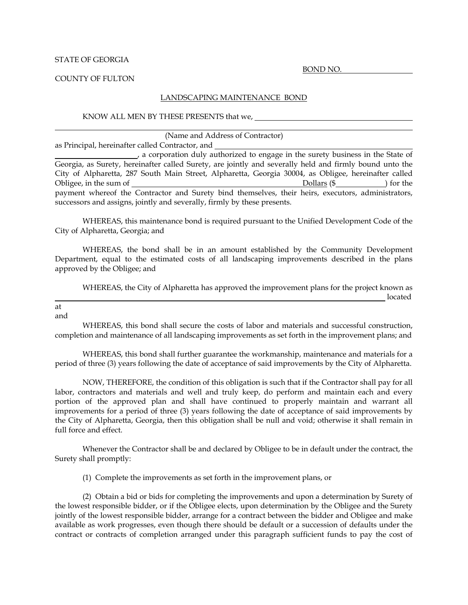### STATE OF GEORGIA

BOND NO.

#### COUNTY OF FULTON

### LANDSCAPING MAINTENANCE BOND

#### KNOW ALL MEN BY THESE PRESENTS that we,

#### (Name and Address of Contractor)

as Principal, hereinafter called Contractor, and

 , a corporation duly authorized to engage in the surety business in the State of Georgia, as Surety, hereinafter called Surety, are jointly and severally held and firmly bound unto the City of Alpharetta, 287 South Main Street, Alpharetta, Georgia 30004, as Obligee, hereinafter called Obligee, in the sum of  $\qquad \qquad$  Dollars (\$ ) for the payment whereof the Contractor and Surety bind themselves, their heirs, executors, administrators, successors and assigns, jointly and severally, firmly by these presents.

 WHEREAS, this maintenance bond is required pursuant to the Unified Development Code of the City of Alpharetta, Georgia; and

 WHEREAS, the bond shall be in an amount established by the Community Development Department, equal to the estimated costs of all landscaping improvements described in the plans approved by the Obligee; and

 WHEREAS, the City of Alpharetta has approved the improvement plans for the project known as **located** and the second control of the second control of the second control of the second control of the second control of the second control of the second control of the second control of the second control of the second

at and

l

 WHEREAS, this bond shall secure the costs of labor and materials and successful construction, completion and maintenance of all landscaping improvements as set forth in the improvement plans; and

 WHEREAS, this bond shall further guarantee the workmanship, maintenance and materials for a period of three (3) years following the date of acceptance of said improvements by the City of Alpharetta.

 NOW, THEREFORE, the condition of this obligation is such that if the Contractor shall pay for all labor, contractors and materials and well and truly keep, do perform and maintain each and every portion of the approved plan and shall have continued to properly maintain and warrant all improvements for a period of three (3) years following the date of acceptance of said improvements by the City of Alpharetta, Georgia, then this obligation shall be null and void; otherwise it shall remain in full force and effect.

 Whenever the Contractor shall be and declared by Obligee to be in default under the contract, the Surety shall promptly:

(1) Complete the improvements as set forth in the improvement plans, or

 (2) Obtain a bid or bids for completing the improvements and upon a determination by Surety of the lowest responsible bidder, or if the Obligee elects, upon determination by the Obligee and the Surety jointly of the lowest responsible bidder, arrange for a contract between the bidder and Obligee and make available as work progresses, even though there should be default or a succession of defaults under the contract or contracts of completion arranged under this paragraph sufficient funds to pay the cost of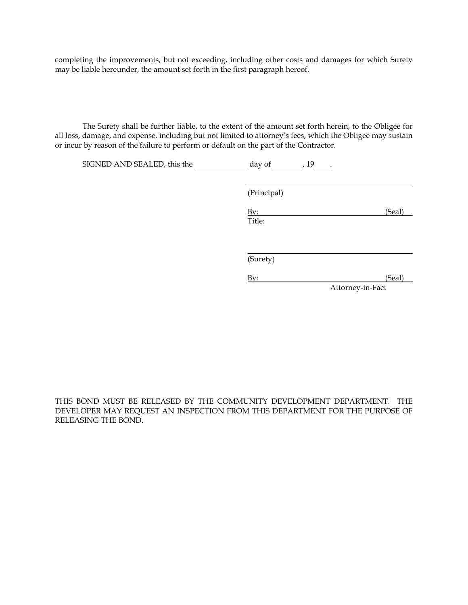completing the improvements, but not exceeding, including other costs and damages for which Surety may be liable hereunder, the amount set forth in the first paragraph hereof.

 The Surety shall be further liable, to the extent of the amount set forth herein, to the Obligee for all loss, damage, and expense, including but not limited to attorney's fees, which the Obligee may sustain or incur by reason of the failure to perform or default on the part of the Contractor.

SIGNED AND SEALED, this the  $\frac{19}{19}$ ,

(Principal)

By: (Seal) (Seal) Title:

(Surety)

By: (Seal) Attorney-in-Fact

THIS BOND MUST BE RELEASED BY THE COMMUNITY DEVELOPMENT DEPARTMENT. THE DEVELOPER MAY REQUEST AN INSPECTION FROM THIS DEPARTMENT FOR THE PURPOSE OF RELEASING THE BOND.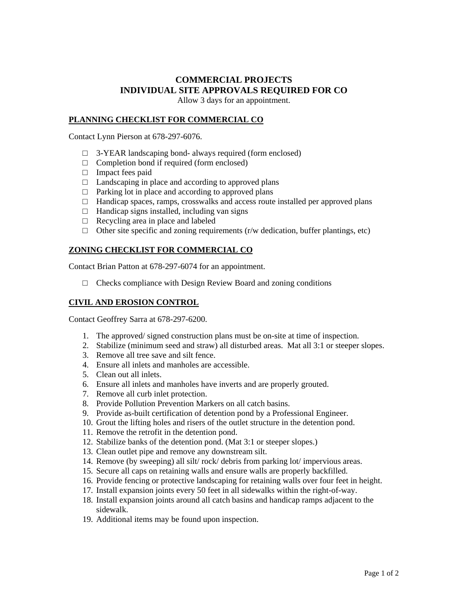# **COMMERCIAL PROJECTS INDIVIDUAL SITE APPROVALS REQUIRED FOR CO**

Allow 3 days for an appointment.

### **PLANNING CHECKLIST FOR COMMERCIAL CO**

Contact Lynn Pierson at 678-297-6076.

- $\Box$  3-YEAR landscaping bond- always required (form enclosed)
- $\Box$  Completion bond if required (form enclosed)
- □ Impact fees paid
- $\Box$  Landscaping in place and according to approved plans
- $\Box$  Parking lot in place and according to approved plans
- $\Box$  Handicap spaces, ramps, crosswalks and access route installed per approved plans
- $\Box$  Handicap signs installed, including van signs
- $\Box$  Recycling area in place and labeled
- $\Box$  Other site specific and zoning requirements (r/w dedication, buffer plantings, etc)

### **ZONING CHECKLIST FOR COMMERCIAL CO**

Contact Brian Patton at 678-297-6074 for an appointment.

 $\Box$  Checks compliance with Design Review Board and zoning conditions

### **CIVIL AND EROSION CONTROL**

Contact Geoffrey Sarra at 678-297-6200.

- 1. The approved/ signed construction plans must be on-site at time of inspection.
- 2. Stabilize (minimum seed and straw) all disturbed areas. Mat all 3:1 or steeper slopes.
- 3. Remove all tree save and silt fence.
- 4. Ensure all inlets and manholes are accessible.
- 5. Clean out all inlets.
- 6. Ensure all inlets and manholes have inverts and are properly grouted.
- 7. Remove all curb inlet protection.
- 8. Provide Pollution Prevention Markers on all catch basins.
- 9. Provide as-built certification of detention pond by a Professional Engineer.
- 10. Grout the lifting holes and risers of the outlet structure in the detention pond.
- 11. Remove the retrofit in the detention pond.
- 12. Stabilize banks of the detention pond. (Mat 3:1 or steeper slopes.)
- 13. Clean outlet pipe and remove any downstream silt.
- 14. Remove (by sweeping) all silt/ rock/ debris from parking lot/ impervious areas.
- 15. Secure all caps on retaining walls and ensure walls are properly backfilled.
- 16. Provide fencing or protective landscaping for retaining walls over four feet in height.
- 17. Install expansion joints every 50 feet in all sidewalks within the right-of-way.
- 18. Install expansion joints around all catch basins and handicap ramps adjacent to the sidewalk.
- 19. Additional items may be found upon inspection.